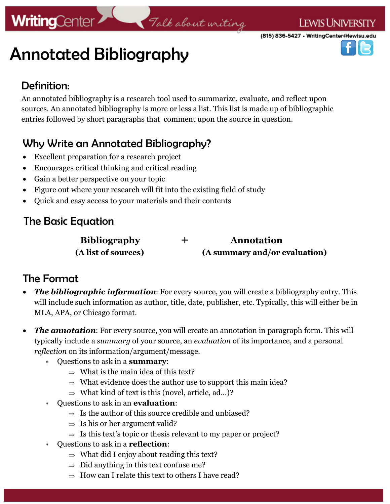(815) 836-5427 • WritingCenter@lewisu.edu

Annotated Bibliography

#### Definition:

**WritingCenter** 

An annotated bibliography is a research tool used to summarize, evaluate, and reflect upon sources. An annotated bibliography is more or less a list. This list is made up of bibliographic entries followed by short paragraphs that comment upon the source in question.

Talk about writing

## Why Write an Annotated Bibliography?

- Excellent preparation for a research project
- Encourages critical thinking and critical reading
- Gain a better perspective on your topic
- Figure out where your research will fit into the existing field of study
- Quick and easy access to your materials and their contents

### The Basic Equation

 **Bibliography + Annotation (A list of sources) (A summary and/or evaluation)**

#### The Format

- *The bibliographic information*: For every source, you will create a bibliography entry. This will include such information as author, title, date, publisher, etc. Typically, this will either be in MLA, APA, or Chicago format.
- **The annotation:** For every source, you will create an annotation in paragraph form. This will typically include a *summary* of your source, an *evaluation* of its importance, and a personal *reflection* on its information/argument/message.
	- Questions to ask in a **summary**:
		- $\Rightarrow$  What is the main idea of this text?
		- $\Rightarrow$  What evidence does the author use to support this main idea?
		- $\Rightarrow$  What kind of text is this (novel, article, ad...)?
	- Questions to ask in an **evaluation**:
		- $\Rightarrow$  Is the author of this source credible and unbiased?
		- $\Rightarrow$  Is his or her argument valid?
		- $\Rightarrow$  Is this text's topic or thesis relevant to my paper or project?
	- Questions to ask in a **reflection**:
		- $\Rightarrow$  What did I enjoy about reading this text?
		- $\Rightarrow$  Did anything in this text confuse me?
		- $\Rightarrow$  How can I relate this text to others I have read?